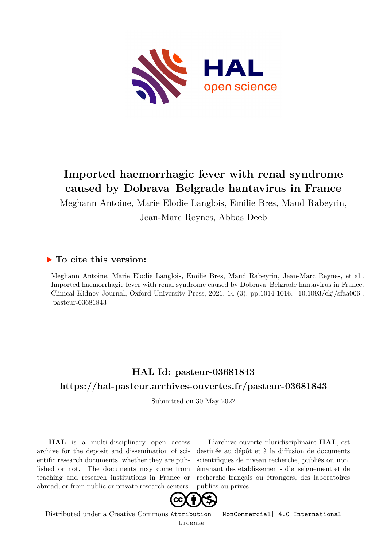

# **Imported haemorrhagic fever with renal syndrome caused by Dobrava–Belgrade hantavirus in France**

Meghann Antoine, Marie Elodie Langlois, Emilie Bres, Maud Rabeyrin, Jean-Marc Reynes, Abbas Deeb

# **To cite this version:**

Meghann Antoine, Marie Elodie Langlois, Emilie Bres, Maud Rabeyrin, Jean-Marc Reynes, et al.. Imported haemorrhagic fever with renal syndrome caused by Dobrava–Belgrade hantavirus in France. Clinical Kidney Journal, Oxford University Press, 2021, 14 (3), pp.1014-1016.  $10.1093/ckj/sfaa006$ .  $pasteur-03681843$ 

# **HAL Id: pasteur-03681843 <https://hal-pasteur.archives-ouvertes.fr/pasteur-03681843>**

Submitted on 30 May 2022

**HAL** is a multi-disciplinary open access archive for the deposit and dissemination of scientific research documents, whether they are published or not. The documents may come from teaching and research institutions in France or abroad, or from public or private research centers.

L'archive ouverte pluridisciplinaire **HAL**, est destinée au dépôt et à la diffusion de documents scientifiques de niveau recherche, publiés ou non, émanant des établissements d'enseignement et de recherche français ou étrangers, des laboratoires publics ou privés.



Distributed under a Creative Commons [Attribution - NonCommercial| 4.0 International](http://creativecommons.org/licenses/by-nc/4.0/) [License](http://creativecommons.org/licenses/by-nc/4.0/)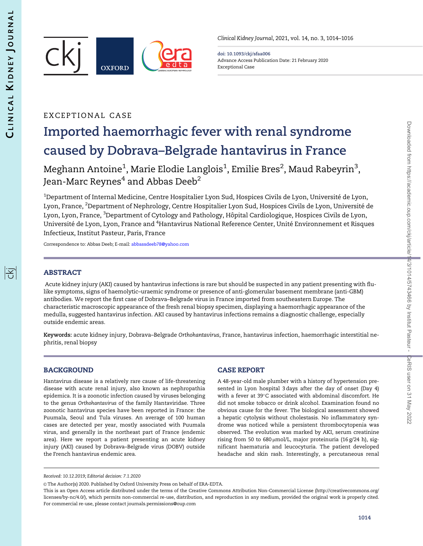序



Clinical Kidney Journal, 2021, vol. 14, no. 3, 1014–1016

doi: 10.1093/ckj/sfaa006 Advance Access Publication Date: 21 February 2020 Exceptional Case

# EXCEPTIONAL CASE

# Imported haemorrhagic fever with renal syndrome caused by Dobrava–Belgrade hantavirus in France

Meghann Antoine $^1$ , Marie Elodie Langlois $^1$ , Emilie Bres $^2$ , Maud Rabeyrin $^3$ , Jean-Marc Reynes<sup>4</sup> and Abbas Deeb<sup>2</sup>

 $^{\rm 1}$ Department of Internal Medicine, Centre Hospitalier Lyon Sud, Hospices Civils de Lyon, Université de Lyon, Lyon, France, <sup>2</sup>Department of Nephrology, Centre Hospitalier Lyon Sud, Hospices Civils de Lyon, Université de Lyon, Lyon, France, <sup>3</sup>Department of Cytology and Pathology, Hôpital Cardiologique, Hospices Civils de Lyon, Université de Lyon, Lyon, France and <sup>4</sup>Hantavirus National Reference Center, Unité Environnement et Risques Infectieux, Institut Pasteur, Paris, France

Correspondence to: Abbas Deeb; E-mail: [abbassdeeb78@yahoo.com](mailto:abbassdeeb78@yahoo.com)

# ABSTRACT

Acute kidney injury (AKI) caused by hantavirus infections is rare but should be suspected in any patient presenting with flulike symptoms, signs of haemolytic–uraemic syndrome or presence of anti-glomerular basement membrane (anti-GBM) antibodies. We report the first case of Dobrava–Belgrade virus in France imported from southeastern Europe. The characteristic macroscopic appearance of the fresh renal biopsy specimen, displaying a haemorrhagic appearance of the medulla, suggested hantavirus infection. AKI caused by hantavirus infections remains a diagnostic challenge, especially outside endemic areas.

Keywords: acute kidney injury, Dobrava–Belgrade Orthohantavirus, France, hantavirus infection, haemorrhagic interstitial nephritis, renal biopsy

# BACKGROUND

Hantavirus disease is a relatively rare cause of life-threatening disease with acute renal injury, also known as nephropathia epidemica. It is a zoonotic infection caused by viruses belonging to the genus Orthohantavirus of the family Hantaviridae. Three zoonotic hantavirus species have been reported in France: the Puumala, Seoul and Tula viruses. An average of 100 human cases are detected per year, mostly associated with Puumala virus, and generally in the northeast part of France (endemic area). Here we report a patient presenting an acute kidney injury (AKI) caused by Dobrava–Belgrade virus (DOBV) outside the French hantavirus endemic area.

# CASE REPORT

A 48-year-old male plumber with a history of hypertension presented in Lyon hospital 3 days after the day of onset (Day 4) with a fever at 39°C associated with abdominal discomfort. He did not smoke tobacco or drink alcohol. Examination found no obvious cause for the fever. The biological assessment showed a hepatic cytolysis without cholestasis. No inflammatory syndrome was noticed while a persistent thrombocytopenia was observed. The evolution was marked by AKI, serum creatinine rising from 50 to 680  $\mu$ mol/L, major proteinuria (16 g/24 h), significant haematuria and leucocyturia. The patient developed headache and skin rash. Interestingly, a percutaneous renal

Received: 10.12.2019; Editorial decision: 7.1.2020

<sup>©</sup> The Author(s) 2020. Published by Oxford University Press on behalf of ERA-EDTA.

This is an Open Access article distributed under the terms of the Creative Commons Attribution Non-Commercial License (http://creativecommons.org/ licenses/by-nc/4.0/), which permits non-commercial re-use, distribution, and reproduction in any medium, provided the original work is properly cited. For commercial re-use, please contact journals.permissions@oup.com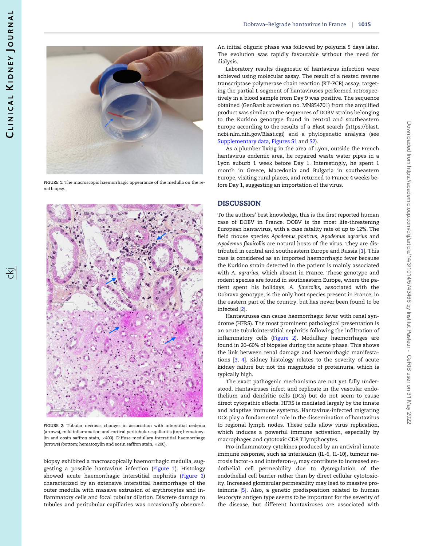

FIGURE 1: The macroscopic haemorrhagic appearance of the medulla on the renal biopsy.



FIGURE 2: Tubular necrosis changes in association with interstitial oedema (arrows), mild inflammation and cortical peritubular capillaritis (top; hematoxylin and eosin saffron stain,  $\times$ 400). Diffuse medullary interstitial haemorrhage (arrows) (bottom; hematoxylin and eosin saffron stain,  $\times$ 200).

biopsy exhibited a macroscopically haemorrhagic medulla, suggesting a possible hantavirus infection (Figure 1). Histology showed acute haemorrhagic interstitial nephritis (Figure 2) characterized by an extensive interstitial haemorrhage of the outer medulla with massive extrusion of erythrocytes and inflammatory cells and focal tubular dilation. Discrete damage to tubules and peritubular capillaries was occasionally observed. An initial oliguric phase was followed by polyuria 5 days later. The evolution was rapidly favourable without the need for dialysis.

Laboratory results diagnostic of hantavirus infection were achieved using molecular assay. The result of a nested reverse transcriptase polymerase chain reaction (RT-PCR) assay, targeting the partial L segment of hantaviruses performed retrospectively in a blood sample from Day 9 was positive. The sequence obtained (GenBank accession no. MN854701) from the amplified product was similar to the sequences of DOBV strains belonging to the Kurkino genotype found in central and southeastern Europe according to the results of a Blast search ([https://blast.](https://blast.ncbi.nlm.nih.gov/Blast.cgi) [ncbi.nlm.nih.gov/Blast.cgi](https://blast.ncbi.nlm.nih.gov/Blast.cgi)) and a phylogenetic analysis (see [Supplementary data,](https://academic.oup.com/ckj/article-lookup/doi/10.1093/ckj/sfaa006#supplementary-data) [Figures S1](https://academic.oup.com/ckj/article-lookup/doi/10.1093/ckj/sfaa006#supplementary-data) and [S2\)](https://academic.oup.com/ckj/article-lookup/doi/10.1093/ckj/sfaa006#supplementary-data).

As a plumber living in the area of Lyon, outside the French hantavirus endemic area, he repaired waste water pipes in a Lyon suburb 1 week before Day 1. Interestingly, he spent 1 month in Greece, Macedonia and Bulgaria in southeastern Europe, visiting rural places, and returned to France 4 weeks before Day 1, suggesting an importation of the virus.

## **DISCUSSION**

To the authors' best knowledge, this is the first reported human case of DOBV in France. DOBV is the most life-threatening European hantavirus, with a case fatality rate of up to 12%. The field mouse species Apodemus ponticus, Apodemus agrarius and Apodemus flavicollis are natural hosts of the virus. They are distributed in central and southeastern Europe and Russia [1]. This case is considered as an imported haemorrhagic fever because the Kurkino strain detected in the patient is mainly associated with A. agrarius, which absent in France. These genotype and rodent species are found in southeastern Europe, where the patient spent his holidays. A. flavicollis, associated with the Dobrava genotype, is the only host species present in France, in the eastern part of the country, but has never been found to be infected [2].

Hantaviruses can cause haemorrhagic fever with renal syndrome (HFRS). The most prominent pathological presentation is an acute tubulointerstitial nephritis following the infiltration of inflammatory cells (Figure 2). Medullary haemorrhages are found in 20–60% of biopsies during the acute phase. This shows the link between renal damage and haemorrhagic manifestations [3, 4]. Kidney histology relates to the severity of acute kidney failure but not the magnitude of proteinuria, which is typically high.

The exact pathogenic mechanisms are not yet fully understood. Hantaviruses infect and replicate in the vascular endothelium and dendritic cells (DCs) but do not seem to cause direct cytopathic effects. HFRS is mediated largely by the innate and adaptive immune systems. Hantavirus-infected migrating DCs play a fundamental role in the dissemination of hantavirus to regional lymph nodes. These cells allow virus replication, which induces a powerful immune activation, especially by macrophages and cytotoxic CD8 T lymphocytes.

Pro-inflammatory cytokines produced by an antiviral innate immune response, such as interleukin (IL-6, IL-10), tumour necrosis factor- $\alpha$  and interferon- $\gamma$ , may contribute to increased endothelial cell permeability due to dysregulation of the endothelial cell barrier rather than by direct cellular cytotoxicity. Increased glomerular permeability may lead to massive proteinuria [5]. Also, a genetic predisposition related to human leucocyte antigen type seems to be important for the severity of the disease, but different hantaviruses are associated with

阁